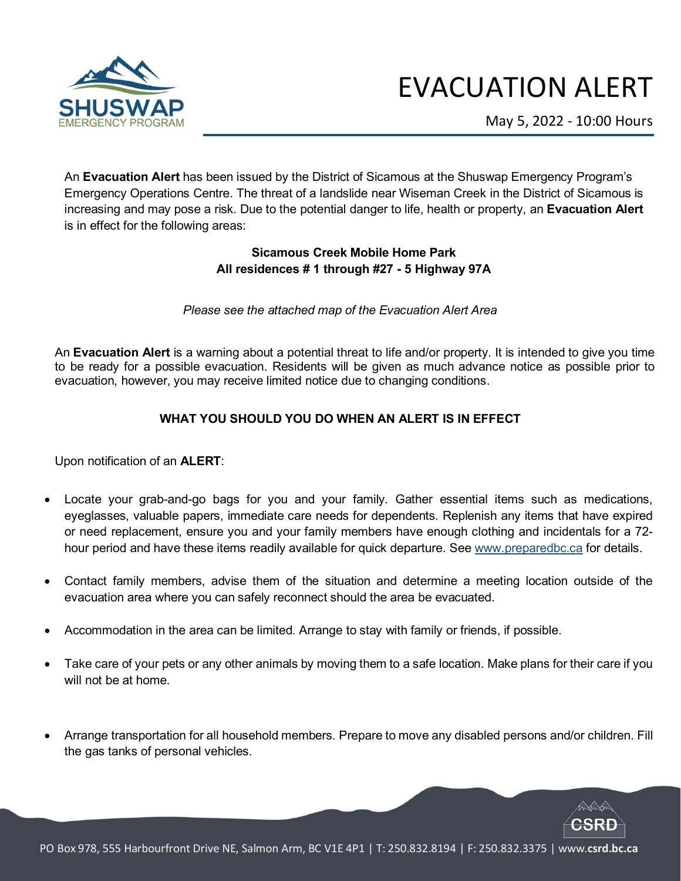

## EVACUATION ALERT

May 5, 2022 - 10:00 Hours

An **Evacuation Alert** has been issued by the District of Sicamous at the Shuswap Emergency Program's Emergency Operations Centre. The threat of a landslide near Wiseman Creek in the District of Sicamous is increasing and may pose a risk. Due to the potential danger to life, health or property, an **Evacuation Alert** is in effect for the following areas:

## **Sicamous Creek Mobile Home Park All residences # 1 through #27 - 5 Highway 97A**

*Please see the attached map of the Evacuation Alert Area* 

An **Evacuation Alert** is a warning about a potential threat to life and/or property. It is intended to give you time to be ready for a possible evacuation. Residents will be given as much advance notice as possible prior to evacuation, however, you may receive limited notice due to changing conditions.

## **WHAT YOU SHOULD YOU DO WHEN AN ALERT IS IN EFFECT**

Upon notification of an **ALERT**:

- Locate your grab-and-go bags for you and your family. Gather essential items such as medications, eyeglasses, valuable papers, immediate care needs for dependents. Replenish any items that have expired or need replacement, ensure you and your family members have enough clothing and incidentals for a 72 hour period and have these items readily available for quick departure. Se[e www.preparedbc.ca](http://www.preparedbc.ca/) for details.
- Contact family members, advise them of the situation and determine a meeting location outside of the evacuation area where you can safely reconnect should the area be evacuated.
- Accommodation in the area can be limited. Arrange to stay with family or friends, if possible.
- Take care of your pets or any other animals by moving them to a safe location. Make plans for their care if you will not be at home.
- Arrange transportation for all household members. Prepare to move any disabled persons and/or children. Fill the gas tanks of personal vehicles.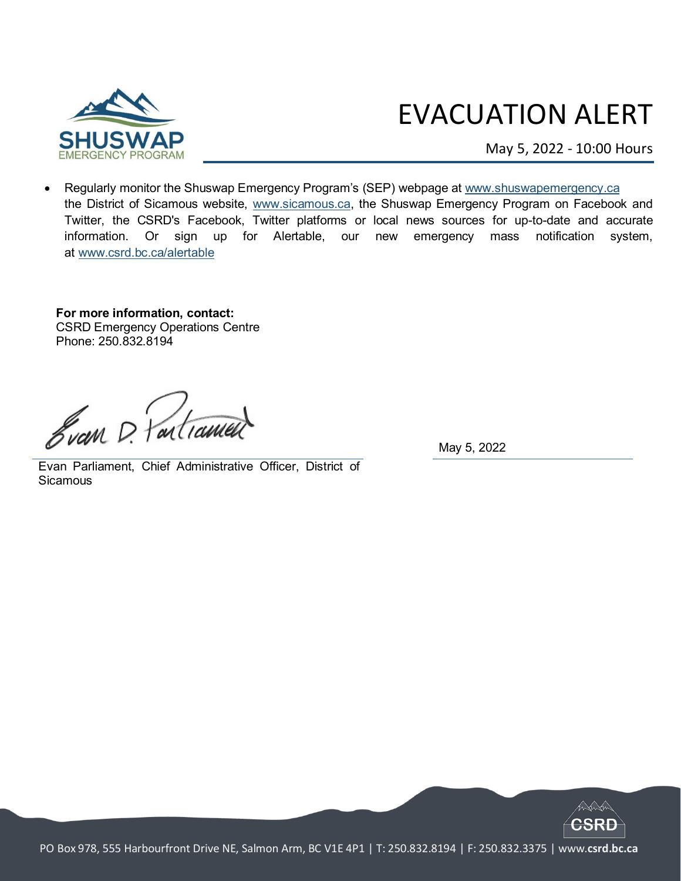

## EVACUATION ALERT

May 5, 2022 - 10:00 Hours

• Regularly monitor the Shuswap Emergency Program's (SEP) webpage at [www.shuswapemergency.ca](http://www.shuswapemergency.ca/) the District of Sicamous website, [www.sicamous.ca,](http://www.sicamous.ca/) the Shuswap Emergency Program on Facebook and Twitter, the CSRD's Facebook, Twitter platforms or local news sources for up-to-date and accurate information. Or sign up for Alertable, our new emergency mass notification system, at [www.csrd.bc.ca/alertable](http://www.csrd.bc.ca/alertable)

**For more information, contact:** CSRD Emergency Operations Centre Phone: 250.832.8194

Svan D. Partiamer

May 5, 2022

Evan Parliament, Chief Administrative Officer, District of **Sicamous**